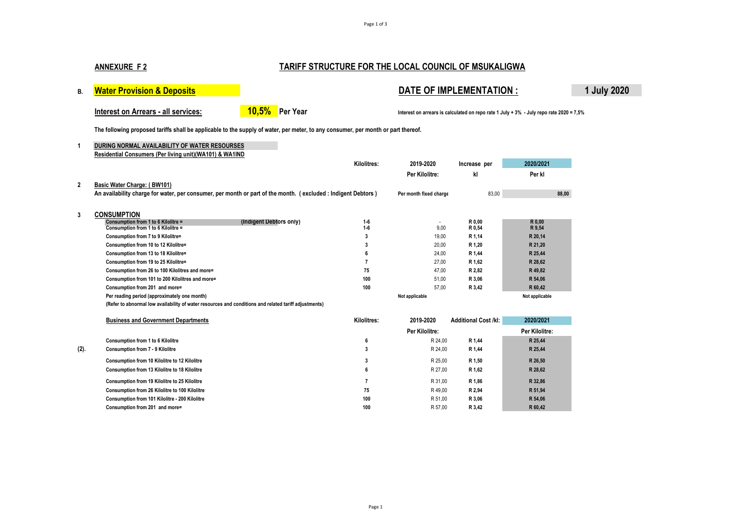#### Page 1 of 3

# **ANNEXURE F 2 TARIFF STRUCTURE FOR THE LOCAL COUNCIL OF MSUKALIGWA**

# B. **Water Provision & Deposits <b>Deposits DATE OF IMPLEMENTATION : 1 July 2020**

**The following proposed tariffs shall be applicable to the supply of water, per meter, to any consumer, per month or part thereof.**

**1 DURING NORMAL AVAILABILITY OF WATER RESOURSES Residential Consumers (Per living unit)(WA101) & WA1IND**

|                |                                                                                                                                             | Kilolitres:    | 2019-2020              | Increase per                | 2020/2021      |
|----------------|---------------------------------------------------------------------------------------------------------------------------------------------|----------------|------------------------|-----------------------------|----------------|
|                |                                                                                                                                             |                | Per Kilolitre:         | kl                          | Per kl         |
| $\overline{2}$ | Basic Water Charge: (BW101)<br>An availability charge for water, per consumer, per month or part of the month. (excluded: Indigent Debtors) |                | Per month fixed charge | 83,00                       | 88,00          |
| 3              | <b>CONSUMPTION</b>                                                                                                                          |                |                        |                             |                |
|                | (Indigent Debtors only)<br>Consumption from 1 to 6 Kilolitre =                                                                              | $1 - 6$        | $\blacksquare$         | R 0.00                      | R 0,00         |
|                | Consumption from 1 to 6 Kilolitre =                                                                                                         | $1-6$          | 9.00                   | R 0.54                      | R 9,54         |
|                | Consumption from 7 to 9 Kilolitre=                                                                                                          | 3              | 19,00                  | R 1,14                      | R 20,14        |
|                | Consumption from 10 to 12 Kilolitre=                                                                                                        | 3              | 20,00                  | R 1,20                      | R 21,20        |
|                | Consumption from 13 to 18 Kilolitre=                                                                                                        | 6              | 24,00                  | R 1.44                      | R 25,44        |
|                | Consumption from 19 to 25 Kilolitre=                                                                                                        |                | 27.00                  | R 1.62                      | R 28,62        |
|                | Consumption from 26 to 100 Kilolitres and more=                                                                                             | 75             | 47.00                  | R 2,82                      | R 49,82        |
|                | Consumption from 101 to 200 Kilolitres and more=                                                                                            | 100            | 51,00                  | R 3,06                      | R 54,06        |
|                | Consumption from 201 and more=                                                                                                              | 100            | 57,00                  | R 3,42                      | R 60,42        |
|                | Per reading period (approximately one month)                                                                                                |                | Not applicable         |                             | Not applicable |
|                | (Refer to abnormal low availability of water resources and conditions and related tariff adjustments)                                       |                |                        |                             |                |
|                | <b>Business and Government Departments</b>                                                                                                  | Kilolitres:    | 2019-2020              | <b>Additional Cost /kl:</b> | 2020/2021      |
|                |                                                                                                                                             |                | Per Kilolitre:         |                             | Per Kilolitre: |
|                | Consumption from 1 to 6 Kilolitre                                                                                                           | 6              | R 24,00                | R 1,44                      | R 25,44        |
| (2).           | Consumption from 7 - 9 Kilolitre                                                                                                            | 3              | R 24,00                | R 1,44                      | R 25,44        |
|                | Consumption from 10 Kilolitre to 12 Kilolitre                                                                                               | 3              | R 25,00                | R 1,50                      | R 26,50        |
|                | Consumption from 13 Kilolitre to 18 Kilolitre                                                                                               | 6              | R 27,00                | R 1,62                      | R 28,62        |
|                | Consumption from 19 Kilolitre to 25 Kilolitre                                                                                               | $\overline{7}$ | R 31.00                | R 1.86                      | R 32.86        |
|                | Consumption from 26 Kilolitre to 100 Kilolitre                                                                                              | 75             | R49,00                 | R 2,94                      | R 51,94        |
|                | Consumption from 101 Kilolitre - 200 Kilolitre                                                                                              | 100            | R 51.00                | R 3,06                      | R 54,06        |
|                | Consumption from 201 and more=                                                                                                              | 100            | R 57.00                | R 3,42                      | R 60.42        |

Interest on Arrears - all services: **10,5%** Per Year **Interest on arrears is calculated on repo** rate 1 July + 3% - July repo rate 2020 = 7,5%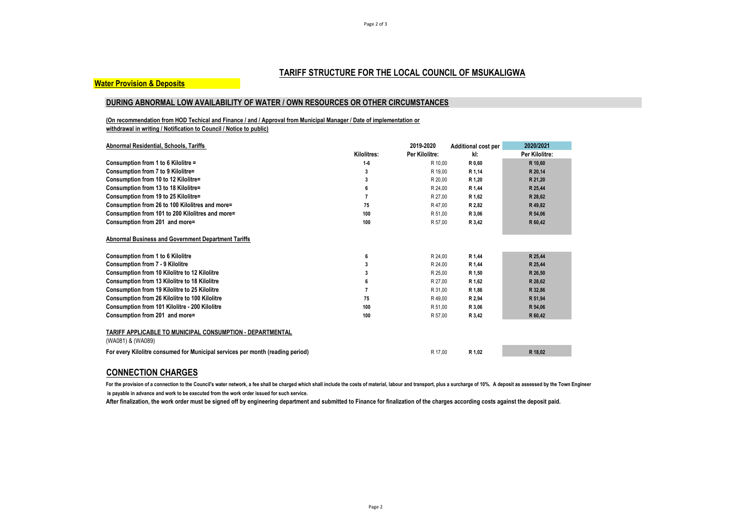# **TARIFF STRUCTURE FOR THE LOCAL COUNCIL OF MSUKALIGWA**

#### **Water Provision & Deposits**

### **DURING ABNORMAL LOW AVAILABILITY OF WATER / OWN RESOURCES OR OTHER CIRCUMSTANCES**

**(On recommendation from HOD Techical and Finance / and / Approval from Municipal Manager / Date of implementation or withdrawal in writing / Notification to Council / Notice to public)**

| Abnormal Residential, Schools, Tariffs                                         |             | 2019-2020      | <b>Additional cost per</b> | 2020/2021      |
|--------------------------------------------------------------------------------|-------------|----------------|----------------------------|----------------|
|                                                                                | Kilolitres: | Per Kilolitre: | kI:                        | Per Kilolitre: |
| Consumption from 1 to 6 Kilolitre =                                            | $1-6$       | R 10.00        | R 0,60                     | R 10,60        |
| Consumption from 7 to 9 Kilolitre=                                             | 3           | R 19,00        | R 1,14                     | R 20,14        |
| Consumption from 10 to 12 Kilolitre=                                           | 3           | R 20,00        | R 1,20                     | R 21,20        |
| Consumption from 13 to 18 Kilolitre=                                           |             | R 24,00        | R 1,44                     | R 25,44        |
| Consumption from 19 to 25 Kilolitre=                                           |             | R 27,00        | R 1,62                     | R 28,62        |
| Consumption from 26 to 100 Kilolitres and more=                                | 75          | R 47,00        | R 2,82                     | R 49,82        |
| Consumption from 101 to 200 Kilolitres and more=                               | 100         | R 51,00        | R 3,06                     | R 54,06        |
| Consumption from 201 and more=                                                 | 100         | R 57,00        | R 3,42                     | R 60,42        |
| Abnormal Business and Government Department Tariffs                            |             |                |                            |                |
| <b>Consumption from 1 to 6 Kilolitre</b>                                       | 6           | R 24,00        | R 1,44                     | R 25,44        |
| Consumption from 7 - 9 Kilolitre                                               |             | R 24,00        | R 1,44                     | R 25,44        |
| Consumption from 10 Kilolitre to 12 Kilolitre                                  |             | R 25,00        | R 1,50                     | R 26.50        |
| Consumption from 13 Kilolitre to 18 Kilolitre                                  |             | R 27,00        | R 1,62                     | R 28,62        |
| <b>Consumption from 19 Kilolitre to 25 Kilolitre</b>                           |             | R 31,00        | R 1,86                     | R 32,86        |
| Consumption from 26 Kilolitre to 100 Kilolitre                                 | 75          | R49,00         | R 2,94                     | R 51,94        |
| Consumption from 101 Kilolitre - 200 Kilolitre                                 | 100         | R 51,00        | R 3,06                     | R 54,06        |
| Consumption from 201 and more=                                                 | 100         | R 57,00        | R 3,42                     | R 60,42        |
| TARIFF APPLICABLE TO MUNICIPAL CONSUMPTION - DEPARTMENTAL<br>(WA081) & (WA089) |             |                |                            |                |
| For every Kilolitre consumed for Municipal services per month (reading period) |             | R 17.00        | R 1,02                     | R 18,02        |

## **CONNECTION CHARGES**

For the provision of a connection to the Council's water network, a fee shall be charged which shall include the costs of material, labour and transport, plus a surcharge of 10%. A deposit as assessed by the Town Engineer  **is payable in advance and work to be executed from the work order issued for such service.** 

**After finalization, the work order must be signed off by engineering department and submitted to Finance for finalization of the charges according costs against the deposit paid.**